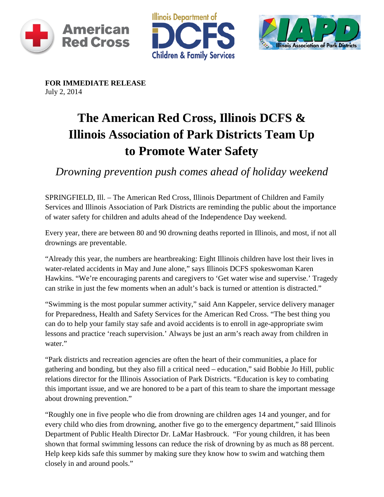





**FOR IMMEDIATE RELEASE** July 2, 2014

## **The American Red Cross, Illinois DCFS & Illinois Association of Park Districts Team Up to Promote Water Safety**

*Drowning prevention push comes ahead of holiday weekend* 

SPRINGFIELD, Ill. – The American Red Cross, Illinois Department of Children and Family Services and Illinois Association of Park Districts are reminding the public about the importance of water safety for children and adults ahead of the Independence Day weekend.

Every year, there are between 80 and 90 drowning deaths reported in Illinois, and most, if not all drownings are preventable.

"Already this year, the numbers are heartbreaking: Eight Illinois children have lost their lives in water-related accidents in May and June alone," says Illinois DCFS spokeswoman Karen Hawkins. "We're encouraging parents and caregivers to 'Get water wise and supervise.' Tragedy can strike in just the few moments when an adult's back is turned or attention is distracted."

"Swimming is the most popular summer activity," said Ann Kappeler, service delivery manager for Preparedness, Health and Safety Services for the American Red Cross. "The best thing you can do to help your family stay safe and avoid accidents is to enroll in age-appropriate swim lessons and practice 'reach supervision.' Always be just an arm's reach away from children in water."

"Park districts and recreation agencies are often the heart of their communities, a place for gathering and bonding, but they also fill a critical need – education," said Bobbie Jo Hill, public relations director for the Illinois Association of Park Districts. "Education is key to combating this important issue, and we are honored to be a part of this team to share the important message about drowning prevention."

"Roughly one in five people who die from drowning are children ages 14 and younger, and for every child who dies from drowning, another five go to the emergency department," said Illinois Department of Public Health Director Dr. LaMar Hasbrouck. "For young children, it has been shown that formal swimming lessons can reduce the risk of drowning by as much as 88 percent. Help keep kids safe this summer by making sure they know how to swim and watching them closely in and around pools."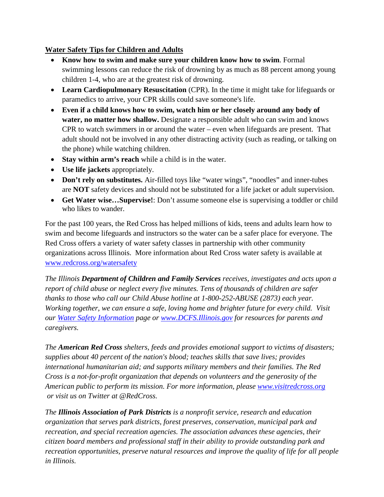## **Water Safety Tips for Children and Adults**

- **Know how to swim and make sure your children know how to swim**. Formal swimming lessons can reduce the risk of drowning by as much as 88 percent among young children 1-4, who are at the greatest risk of drowning.
- **Learn Cardiopulmonary Resuscitation** (CPR). In the time it might take for lifeguards or paramedics to arrive, your CPR skills could save someone's life.
- **Even if a child knows how to swim, watch him or her closely around any body of water, no matter how shallow.** Designate a responsible adult who can swim and knows CPR to watch swimmers in or around the water – even when lifeguards are present. That adult should not be involved in any other distracting activity (such as reading, or talking on the phone) while watching children.
- **Stay within arm's reach** while a child is in the water.
- **Use life jackets** appropriately.
- **Don't rely on substitutes.** Air-filled toys like "water wings", "noodles" and inner-tubes are **NOT** safety devices and should not be substituted for a life jacket or adult supervision.
- **Get Water wise…Supervise!**: Don't assume someone else is supervising a toddler or child who likes to wander.

For the past 100 years, the Red Cross has helped millions of kids, teens and adults learn how to swim and become lifeguards and instructors so the water can be a safer place for everyone. The Red Cross offers a variety of water safety classes in partnership with other community organizations across Illinois. More information about Red Cross water safety is available at [www.redcross.org/watersafety](http://www.redcross.org/watersafety)

*The Illinois Department of Children and Family Services receives, investigates and acts upon a report of child abuse or neglect every five minutes. Tens of thousands of children are safer thanks to those who call our Child Abuse hotline at 1-800-252-ABUSE (2873) each year. Working together, we can ensure a safe, loving home and brighter future for every child. Visit our [Water Safety Information](http://www.state.il.us/dcfs/library/com_communications_WSI.shtml) page or [www.DCFS.Illinois.gov](http://www.dcfs.illinois.gov/) for resources for parents and caregivers.*

*The American Red Cross shelters, feeds and provides emotional support to victims of disasters; supplies about 40 percent of the nation's blood; teaches skills that save lives; provides international humanitarian aid; and supports military members and their families. The Red Cross is a not-for-profit organization that depends on volunteers and the generosity of the American public to perform its mission. For more information, please [www.visitredcross.org](http://www.visitredcross.org/) or visit us on Twitter at @RedCross.*

*The Illinois Association of Park Districts is a nonprofit service, research and education organization that serves park districts, forest preserves, conservation, municipal park and recreation, and special recreation agencies. The association advances these agencies, their citizen board members and professional staff in their ability to provide outstanding park and recreation opportunities, preserve natural resources and improve the quality of life for all people in Illinois.*